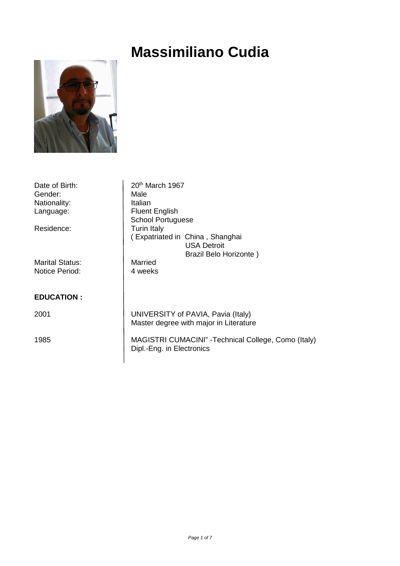# **Massimiliano Cudia**



| Date of Birth:         | 20th March 1967                                      |
|------------------------|------------------------------------------------------|
| Gender:                | Male                                                 |
| Nationality:           | Italian                                              |
| Language:              | <b>Fluent English</b>                                |
|                        | <b>School Portuguese</b>                             |
| Residence:             | <b>Turin Italy</b>                                   |
|                        | (Expatriated in China, Shanghai                      |
|                        | <b>USA Detroit</b>                                   |
|                        | Brazil Belo Horizonte)                               |
| <b>Marital Status:</b> | Married                                              |
| <b>Notice Period:</b>  | 4 weeks                                              |
|                        |                                                      |
|                        |                                                      |
| <b>EDUCATION:</b>      |                                                      |
|                        |                                                      |
| 2001                   | UNIVERSITY of PAVIA, Pavia (Italy)                   |
|                        | Master degree with major in Literature               |
|                        |                                                      |
| 1985                   | MAGISTRI CUMACINI" - Technical College, Como (Italy) |
|                        | Dipl.-Eng. in Electronics                            |
|                        |                                                      |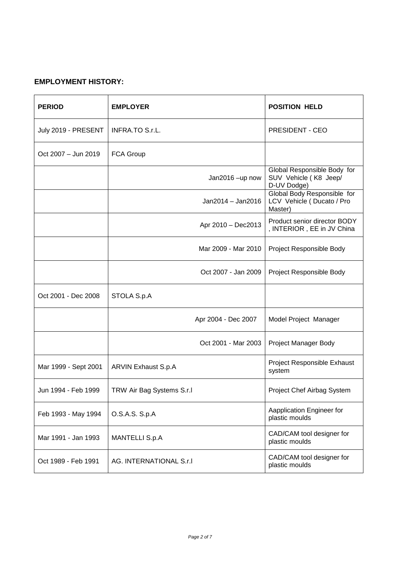## **EMPLOYMENT HISTORY:**

| <b>PERIOD</b>        | <b>EMPLOYER</b>           | <b>POSITION HELD</b>                                                |
|----------------------|---------------------------|---------------------------------------------------------------------|
| July 2019 - PRESENT  | INFRA.TO S.r.L.           | <b>PRESIDENT - CEO</b>                                              |
| Oct 2007 - Jun 2019  | <b>FCA Group</b>          |                                                                     |
|                      | Jan2016-up now            | Global Responsible Body for<br>SUV Vehicle (K8 Jeep/<br>D-UV Dodge) |
|                      | Jan2014 - Jan2016         | Global Body Responsible for<br>LCV Vehicle (Ducato / Pro<br>Master) |
|                      | Apr 2010 - Dec2013        | Product senior director BODY<br>, INTERIOR, EE in JV China          |
|                      | Mar 2009 - Mar 2010       | Project Responsible Body                                            |
|                      | Oct 2007 - Jan 2009       | Project Responsible Body                                            |
| Oct 2001 - Dec 2008  | STOLA S.p.A               |                                                                     |
|                      | Apr 2004 - Dec 2007       | Model Project Manager                                               |
|                      | Oct 2001 - Mar 2003       | Project Manager Body                                                |
| Mar 1999 - Sept 2001 | ARVIN Exhaust S.p.A       | Project Responsible Exhaust<br>system                               |
| Jun 1994 - Feb 1999  | TRW Air Bag Systems S.r.I | Project Chef Airbag System                                          |
| Feb 1993 - May 1994  | O.S.A.S. S.p.A            | Aapplication Engineer for<br>plastic moulds                         |
| Mar 1991 - Jan 1993  | <b>MANTELLI S.p.A</b>     | CAD/CAM tool designer for<br>plastic moulds                         |
| Oct 1989 - Feb 1991  | AG. INTERNATIONAL S.r.I   | CAD/CAM tool designer for<br>plastic moulds                         |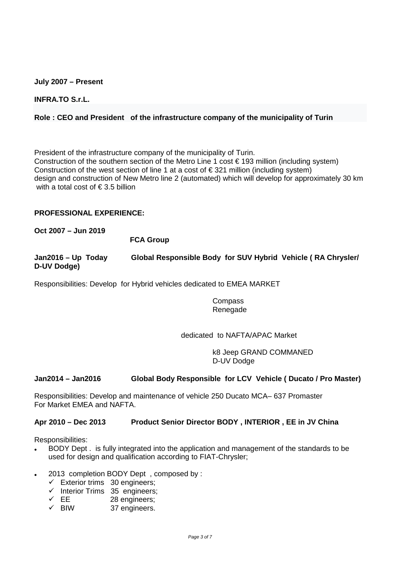#### **July 2007 – Present**

**INFRA.TO S.r.L.** 

## **Role : CEO and President of the infrastructure company of the municipality of Turin**

President of the infrastructure company of the municipality of Turin. Construction of the southern section of the Metro Line 1 cost  $\in$  193 million (including system) Construction of the west section of line 1 at a cost of  $\epsilon$  321 million (including system) design and construction of New Metro line 2 (automated) which will develop for approximately 30 km with a total cost of  $\epsilon$  3.5 billion

#### **PROFESSIONAL EXPERIENCE:**

#### **Oct 2007 – Jun 2019**

#### **FCA Group**

**Jan2016 – Up Today Global Responsible Body for SUV Hybrid Vehicle ( RA Chrysler/ D-UV Dodge)** 

Responsibilities: Develop for Hybrid vehicles dedicated to EMEA MARKET

#### Compass Renegade

#### dedicated to NAFTA/APAC Market

 k8 Jeep GRAND COMMANED D-UV Dodge

#### **Jan2014 – Jan2016 Global Body Responsible for LCV Vehicle ( Ducato / Pro Master)**

Responsibilities: Develop and maintenance of vehicle 250 Ducato MCA– 637 Promaster For Market EMEA and NAFTA.

#### **Apr 2010 – Dec 2013 Product Senior Director BODY , INTERIOR , EE in JV China**

Responsibilities:

- BODY Dept . is fully integrated into the application and management of the standards to be used for design and qualification according to FIAT-Chrysler;
- 2013 completion BODY Dept , composed by :
	- $\checkmark$  Exterior trims 30 engineers;
	- $\checkmark$  Interior Trims 35 engineers;
	- $\checkmark$  EE 28 engineers;
	- $\checkmark$  BIW 37 engineers.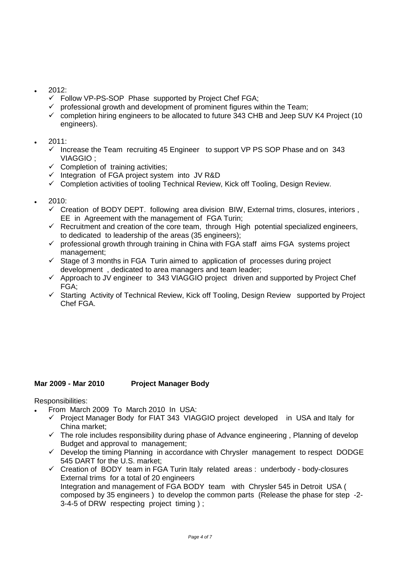- 2012:
	- Follow VP-PS-SOP Phase supported by Project Chef FGA;
	- $\checkmark$  professional growth and development of prominent figures within the Team;
	- $\checkmark$  completion hiring engineers to be allocated to future 343 CHB and Jeep SUV K4 Project (10 engineers).

## 2011:

- Increase the Team recruiting 45 Engineer to support VP PS SOP Phase and on 343 VIAGGIO ;
- $\checkmark$  Completion of training activities;
- Integration of FGA project system into JV R&D
- Completion activities of tooling Technical Review, Kick off Tooling, Design Review.
- 2010:
	- Creation of BODY DEPT. following area division BIW, External trims, closures, interiors , EE in Agreement with the management of FGA Turin;
	- $\checkmark$  Recruitment and creation of the core team, through High potential specialized engineers, to dedicated to leadership of the areas (35 engineers);
	- $\checkmark$  professional growth through training in China with FGA staff aims FGA systems project management;
	- $\checkmark$  Stage of 3 months in FGA Turin aimed to application of processes during project development , dedicated to area managers and team leader;
	- Approach to JV engineer to 343 VIAGGIO project driven and supported by Project Chef FGA;
	- Starting Activity of Technical Review, Kick off Tooling, Design Review supported by Project Chef FGA.

## **Mar 2009 - Mar 2010 Project Manager Body**

Responsibilities:

- From March 2009 To March 2010 In USA:
	- Project Manager Body for FIAT 343 VIAGGIO project developed in USA and Italy for China market;
	- The role includes responsibility during phase of Advance engineering , Planning of develop Budget and approval to management;
	- $\checkmark$  Develop the timing Planning in accordance with Chrysler management to respect DODGE 545 DART for the U.S. market;
	- Creation of BODY team in FGA Turin Italy related areas : underbody body-closures External trims for a total of 20 engineers Integration and management of FGA BODY team with Chrysler 545 in Detroit USA ( composed by 35 engineers ) to develop the common parts (Release the phase for step -2- 3-4-5 of DRW respecting project timing ) ;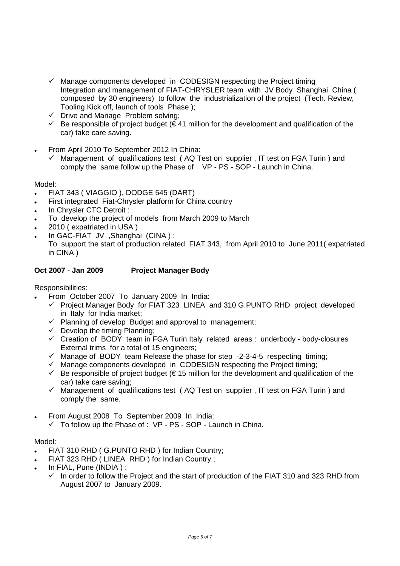- Manage components developed in CODESIGN respecting the Project timing Integration and management of FIAT-CHRYSLER team with JV Body Shanghai China ( composed by 30 engineers) to follow the industrialization of the project (Tech. Review, Tooling Kick off, launch of tools Phase );
- Drive and Manage Problem solving;
- $\checkmark$  Be responsible of project budget ( $\xi$  41 million for the development and qualification of the car) take care saving.
- From April 2010 To September 2012 In China:
	- $\checkmark$  Management of qualifications test ( AQ Test on supplier , IT test on FGA Turin ) and comply the same follow up the Phase of : VP - PS - SOP - Launch in China.

Model:

- FIAT 343 ( VIAGGIO ), DODGE 545 (DART)
- First integrated Fiat-Chrysler platform for China country
- In Chrysler CTC Detroit :
- To develop the project of models from March 2009 to March
- 2010 ( expatriated in USA )
- In GAC-FIAT JV ,Shanghai (CINA ) :
- To support the start of production related FIAT 343, from April 2010 to June 2011( expatriated in CINA )

## **Oct 2007 - Jan 2009 Project Manager Body**

Responsibilities:

- From October 2007 To January 2009 In India:
	- Project Manager Body for FIAT 323 LINEA and 310 G.PUNTO RHD project developed in Italy for India market;
	- $\checkmark$  Planning of develop Budget and approval to management;
	- $\checkmark$  Develop the timing Planning;
	- $\checkmark$  Creation of BODY team in FGA Turin Italy related areas : underbody body-closures External trims for a total of 15 engineers;
	- Manage of BODY team Release the phase for step -2-3-4-5 respecting timing;
	- Manage components developed in CODESIGN respecting the Project timing;
	- $\checkmark$  Be responsible of project budget ( $\in$  15 million for the development and qualification of the car) take care saving;
	- Management of qualifications test ( AQ Test on supplier , IT test on FGA Turin ) and comply the same.
- From August 2008 To September 2009 In India:
	- $\checkmark$  To follow up the Phase of : VP PS SOP Launch in China.

## Model:

- FIAT 310 RHD ( G.PUNTO RHD ) for Indian Country;
- FIAT 323 RHD ( LINEA RHD ) for Indian Country ;
- In FIAL, Pune (INDIA ) :
	- $\checkmark$  In order to follow the Project and the start of production of the FIAT 310 and 323 RHD from August 2007 to January 2009.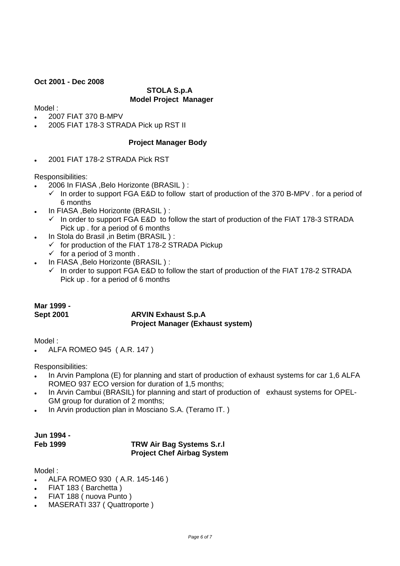## **Oct 2001 - Dec 2008**

## **STOLA S.p.A Model Project Manager**

Model :

- 2007 FIAT 370 B-MPV
- 2005 FIAT 178-3 STRADA Pick up RST II

## **Project Manager Body**

2001 FIAT 178-2 STRADA Pick RST

Responsibilities:

- 2006 In FIASA ,Belo Horizonte (BRASIL ) :
	- In order to support FGA E&D to follow start of production of the 370 B-MPV . for a period of 6 months
- In FIASA ,Belo Horizonte (BRASIL ) :
	- $\checkmark$  In order to support FGA E&D to follow the start of production of the FIAT 178-3 STRADA Pick up . for a period of 6 months
- In Stola do Brasil ,in Betim (BRASIL ) :
	- $\checkmark$  for production of the FIAT 178-2 STRADA Pickup
		- $\checkmark$  for a period of 3 month.
- In FIASA ,Belo Horizonte (BRASIL ) :
	- $\checkmark$  In order to support FGA E&D to follow the start of production of the FIAT 178-2 STRADA Pick up . for a period of 6 months

## **Mar 1999 -**

## **Sept 2001 ARVIN Exhaust S.p.A Project Manager (Exhaust system)**

Model :

ALFA ROMEO 945 ( A.R. 147 )

Responsibilities:

- In Arvin Pamplona (E) for planning and start of production of exhaust systems for car 1,6 ALFA ROMEO 937 ECO version for duration of 1,5 months;
- In Arvin Cambui (BRASIL) for planning and start of production of exhaust systems for OPEL-GM group for duration of 2 months;
- In Arvin production plan in Mosciano S.A. (Teramo IT. )

# **Jun 1994 -**

## **Feb 1999 TRW Air Bag Systems S.r.l Project Chef Airbag System**

Model :

- ALFA ROMEO 930 ( A.R. 145-146 )
- FIAT 183 ( Barchetta )
- FIAT 188 ( nuova Punto )
- MASERATI 337 ( Quattroporte )